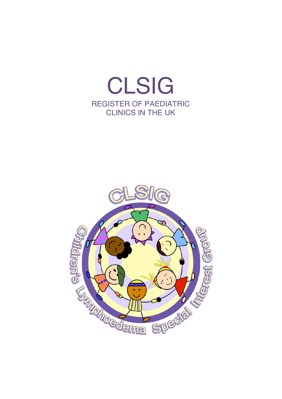

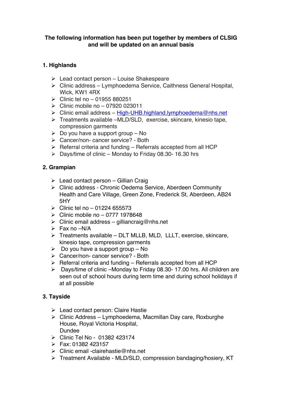#### **The following information has been put together by members of CLSIG and will be updated on an annual basis**

### **1. Highlands**

- $\triangleright$  Lead contact person Louise Shakespeare
- $\triangleright$  Clinic address Lymphoedema Service, Caithness General Hospital, Wick, KW1 4RX
- $\triangleright$  Clinic tel no 01955 880251
- $\triangleright$  Clinic mobile no 07920 023011
- > Clinic email address High-UHB.highland.lymphoedema@nhs.net
- > Treatments available –MLD/SLD, exercise, skincare, kinesio tape, compression garments
- $\geq$  Do you have a support group No
- > Cancer/non- cancer service? Both
- $\triangleright$  Referral criteria and funding Referrals accepted from all HCP
- ! Days/time of clinic Monday to Friday 08.30- 16.30 hrs

#### **2. Grampian**

- $\geqslant$  Lead contact person Gillian Craig
- > Clinic address Chronic Oedema Service, Aberdeen Community Health and Care Village, Green Zone, Frederick St, Aberdeen, AB24 5HY
- $\geq$  Clinic tel no 01224 655573
- $\triangleright$  Clinic mobile no 0777 1978648
- $\triangleright$  Clinic email address gilliancraig@nhs.net
- $\triangleright$  Fax no –N/A
- $\triangleright$  Treatments available DLT MLLB, MLD, LLLT, exercise, skincare, kinesio tape, compression garments
- $\geq$  Do you have a support group No
- > Cancer/non- cancer service? Both
- $\triangleright$  Referral criteria and funding Referrals accepted from all HCP
- $\geq$  Days/time of clinic –Monday to Friday 08.30- 17.00 hrs. All children are seen out of school hours during term time and during school holidays if at all possible

### **3. Tayside**

- $\triangleright$  Lead contact person: Claire Hastie
- $\triangleright$  Clinic Address Lymphoedema, Macmillan Day care, Roxburghe House, Royal Victoria Hospital, Dundee
- $\triangleright$  Clinic Tel No 01382 423174
- $\triangleright$  Fax: 01382 423157
- $\triangleright$  Clinic email -clairehastie@nhs.net
- > Treatment Available MLD/SLD, compression bandaging/hosiery, KT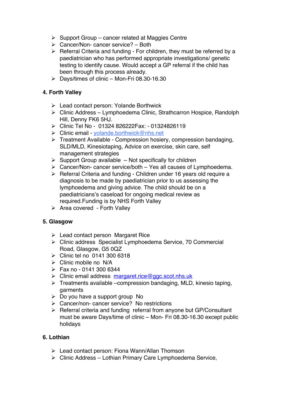- $\triangleright$  Support Group cancer related at Maggies Centre
- $\triangleright$  Cancer/Non- cancer service? Both
- $\triangleright$  Referral Criteria and funding For children, they must be referred by a paediatrician who has performed appropriate investigations/ genetic testing to identify cause. Would accept a GP referral if the child has been through this process already.
- $\triangleright$  Days/times of clinic Mon-Fri 08.30-16.30

### **4. Forth Valley**

- > Lead contact person: Yolande Borthwick
- $\triangleright$  Clinic Address Lymphoedema Clinic, Strathcarron Hospice, Randolph Hill, Denny FK6 5HJ.
- ! Clinic Tel No 01324 826222Fax: 01324826119
- > Clinic email yolande.borthwick@nhs.net
- > Treatment Available Compression hosiery, compression bandaging, SLD/MLD, Kinesiotaping, Advice on exercise, skin care, self management strategies
- $\triangleright$  Support Group available Not specifically for children
- $\triangleright$  Cancer/Non- cancer service/both Yes all causes of Lymphoedema.
- $\triangleright$  Referral Criteria and funding Children under 16 years old require a diagnosis to be made by paediatrician prior to us assessing the lymphoedema and giving advice. The child should be on a paediatricians's caseload for ongoing medical review as required.Funding is by NHS Forth Valley
- $\triangleright$  Area covered Forth Valley

# **5. Glasgow**

- $\triangleright$  Lead contact person Margaret Rice
- > Clinic address Specialist Lymphoedema Service, 70 Commercial Road, Glasgow, G5 0QZ
- $\triangleright$  Clinic tel no 0141 300 6318
- $\triangleright$  Clinic mobile no N/A
- $\triangleright$  Fax no 0141 300 6344
- > Clinic email address margaret.rice@ggc.scot.nhs.uk
- $\triangleright$  Treatments available –compression bandaging, MLD, kinesio taping, garments
- $\triangleright$  Do you have a support group No
- $\triangleright$  Cancer/non- cancer service? No restrictions
- $\triangleright$  Referral criteria and funding referral from anyone but GP/Consultant must be aware Days/time of clinic – Mon- Fri 08.30-16.30 except public holidays

### **6. Lothian**

- > Lead contact person: Fiona Wann/Allan Thomson
- $\triangleright$  Clinic Address Lothian Primary Care Lymphoedema Service,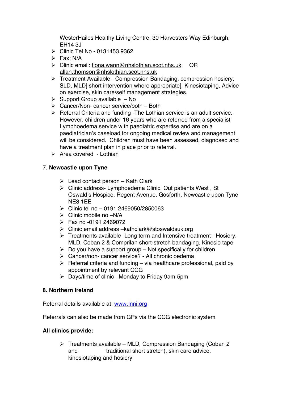WesterHailes Healthy Living Centre, 30 Harvesters Way Edinburgh, EH14 3J

- $\triangleright$  Clinic Tel No 0131453 9362
- $\triangleright$  Fax: N/A
- ! Clinic email: fiona.wann@nhslothian.scot.nhs.uk OR allan.thomson@nhslothian.scot.nhs.uk
- $\triangleright$  Treatment Available Compression Bandaging, compression hosiery, SLD, MLDI short intervention where appropriatel, Kinesiotaping, Advice on exercise, skin care/self management strategies.
- $\triangleright$  Support Group available No
- $\triangleright$  Cancer/Non- cancer service/both Both
- $\triangleright$  Referral Criteria and funding -The Lothian service is an adult service. However, children under 16 years who are referred from a specialist Lymphoedema service with paediatric expertise and are on a paediatrician's caseload for ongoing medical review and management will be considered. Children must have been assessed, diagnosed and have a treatment plan in place prior to referral.
- $\triangleright$  Area covered Lothian

### 7. **Newcastle upon Tyne**

- $\triangleright$  Lead contact person Kath Clark
- $\triangleright$  Clinic address- Lymphoedema Clinic. Out patients West, St Oswald's Hospice, Regent Avenue, Gosforth, Newcastle upon Tyne NE3 1EE
- $\triangleright$  Clinic tel no 0191 2469050/2850063
- $\triangleright$  Clinic mobile no  $-N/A$
- $\triangleright$  Fax no -0191 2469072
- $\triangleright$  Clinic email address –kathclark@stoswaldsuk.org
- $\triangleright$  Treatments available -Long term and Intensive treatment Hosiery, MLD, Coban 2 & Comprilan short-stretch bandaging, Kinesio tape
- $\triangleright$  Do you have a support group Not specifically for children
- $\triangleright$  Cancer/non- cancer service? All chronic oedema
- $\triangleright$  Referral criteria and funding via healthcare professional, paid by appointment by relevant CCG
- $\triangleright$  Days/time of clinic –Monday to Friday 9am-5pm

### **8. Northern Ireland**

Referral details available at: www.Inni.org

Referrals can also be made from GPs via the CCG electronic system

### **All clinics provide:**

 $\triangleright$  Treatments available – MLD, Compression Bandaging (Coban 2) and traditional short stretch), skin care advice, kinesiotaping and hosiery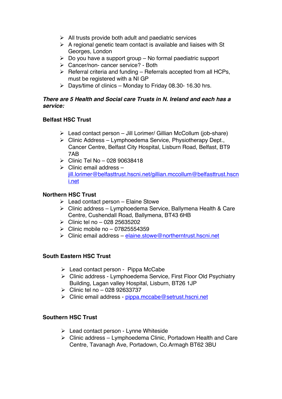- $\triangleright$  All trusts provide both adult and paediatric services
- $\triangleright$  A regional genetic team contact is available and liaises with St Georges, London
- $\triangleright$  Do you have a support group No formal paediatric support
- $\triangleright$  Cancer/non- cancer service? Both
- $\triangleright$  Referral criteria and funding Referrals accepted from all HCPs, must be registered with a NI GP
- $\triangleright$  Days/time of clinics Monday to Friday 08.30- 16.30 hrs.

#### *There are 5 Health and Social care Trusts in N. Ireland and each has a service:*

### **Belfast HSC Trust**

- $\triangleright$  Lead contact person Jill Lorimer/ Gillian McCollum (job-share)
- $\triangleright$  Clinic Address Lymphoedema Service, Physiotherapy Dept., Cancer Centre, Belfast City Hospital, Lisburn Road, Belfast, BT9 7AB
- $\triangleright$  Clinic Tel No 028 90638418
- $\triangleright$  Clinic email address jill.lorimer@belfasttrust.hscni.net/gillian.mccollum@belfasttrust.hscn i.net

### **Northern HSC Trust**

- $\triangleright$  Lead contact person Elaine Stowe
- $\triangleright$  Clinic address Lymphoedema Service, Ballymena Health & Care Centre, Cushendall Road, Ballymena, BT43 6HB
- $\triangleright$  Clinic tel no 028 25635202
- $\triangleright$  Clinic mobile no 07825554359
- $\triangleright$  Clinic email address elaine.stowe@northerntrust.hscni.net

### **South Eastern HSC Trust**

- $\triangleright$  Lead contact person Pippa McCabe
- $\triangleright$  Clinic address Lymphoedema Service, First Floor Old Psychiatry Building, Lagan valley Hospital, Lisburn, BT26 1JP
- $\triangleright$  Clinic tel no 028 92633737
- > Clinic email address pippa.mccabe@setrust.hscni.net

### **Southern HSC Trust**

- $\triangleright$  Lead contact person Lynne Whiteside
- $\triangleright$  Clinic address Lymphoedema Clinic, Portadown Health and Care Centre, Tavanagh Ave, Portadown, Co.Armagh BT62 3BU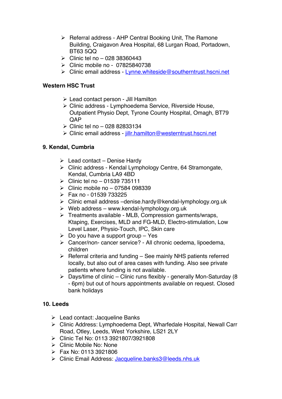- $\triangleright$  Referral address AHP Central Booking Unit, The Ramone Building, Craigavon Area Hospital, 68 Lurgan Road, Portadown, BT63 5QQ
- $\triangleright$  Clinic tel no 028 38360443
- $\triangleright$  Clinic mobile no 07825840738
- ! Clinic email address Lynne.whiteside@southerntrust.hscni.net

#### **Western HSC Trust**

- $\triangleright$  Lead contact person Jill Hamilton
- > Clinic address Lymphoedema Service, Riverside House, Outpatient Physio Dept, Tyrone County Hospital, Omagh, BT79 **OAP**
- $\geq$  Clinic tel no 028 82833134
- > Clinic email address jillr.hamilton@westerntrust.hscni.net

### **9. Kendal, Cumbria**

- $\triangleright$  Lead contact Denise Hardy
- $\triangleright$  Clinic address Kendal Lymphology Centre, 64 Stramongate, Kendal, Cumbria LA9 4BD
- $\triangleright$  Clinic tel no 01539 735111
- $\geq$  Clinic mobile no 07584 098339
- $\triangleright$  Fax no 01539 733225
- $\triangleright$  Clinic email address –denise.hardy@kendal-lymphology.org.uk
- $\triangleright$  Web address www.kendal-lymphology.org.uk
- $\triangleright$  Treatments available MLB, Compression garments/wraps, Ktaping, Exercises, MLD and FG-MLD, Electro-stimulation, Low Level Laser, Physio-Touch, IPC, Skin care
- $\triangleright$  Do you have a support group Yes
- > Cancer/non- cancer service? All chronic oedema, lipoedema, children
- $\triangleright$  Referral criteria and funding See mainly NHS patients referred locally, but also out of area cases with funding. Also see private patients where funding is not available.
- $\triangleright$  Days/time of clinic Clinic runs flexibly generally Mon-Saturday (8) - 6pm) but out of hours appointments available on request. Closed bank holidays

### **10. Leeds**

- $\triangleright$  Lead contact: Jacqueline Banks
- > Clinic Address: Lymphoedema Dept, Wharfedale Hospital, Newall Carr Road, Otley, Leeds, West Yorkshire, LS21 2LY
- ! Clinic Tel No: 0113 3921807/3921808
- $\triangleright$  Clinic Mobile No: None
- $\triangleright$  Fax No: 0113 3921806
- > Clinic Email Address: Jacqueline.banks3@leeds.nhs.uk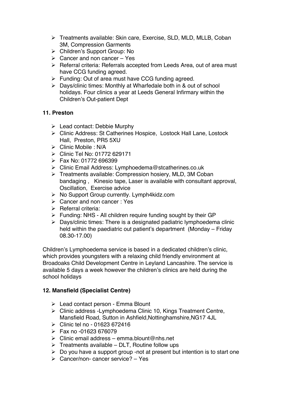- > Treatments available: Skin care, Exercise, SLD, MLD, MLLB, Coban 3M, Compression Garments
- > Children's Support Group: No
- $\triangleright$  Cancer and non cancer Yes
- $\triangleright$  Referral criteria: Referrals accepted from Leeds Area, out of area must have CCG funding agreed.
- $\triangleright$  Funding: Out of area must have CCG funding agreed.
- $\triangleright$  Days/clinic times: Monthly at Wharfedale both in & out of school holidays. Four clinics a year at Leeds General Infirmary within the Children's Out-patient Dept

### **11. Preston**

- $\triangleright$  Lead contact: Debbie Murphy
- > Clinic Address: St Catherines Hospice, Lostock Hall Lane, Lostock Hall, Preston, PR5 5XU
- $\triangleright$  Clinic Mobile : N/A
- ! Clinic Tel No: 01772 629171
- $\triangleright$  Fax No: 01772 696399
- > Clinic Email Address: Lymphoedema@stcatherines.co.uk
- $\triangleright$  Treatments available: Compression hosiery, MLD, 3M Coban bandaging , Kinesio tape, Laser is available with consultant approval, Oscillation, Exercise advice
- ▶ No Support Group currently. Lymph4kidz.com
- $\triangleright$  Cancer and non cancer : Yes
- $\triangleright$  Referral criteria:
- $\triangleright$  Funding: NHS All children require funding sought by their GP
- $\triangleright$  Days/clinic times: There is a designated padiatric lymphoedema clinic held within the paediatric out patient's department (Monday – Friday 08.30-17.00)

Children's Lymphoedema service is based in a dedicated children's clinic, which provides youngsters with a relaxing child friendly environment at Broadoaks Child Development Centre in Leyland Lancashire. The service is available 5 days a week however the children's clinics are held during the school holidays

# **12. Mansfield (Specialist Centre)**

- $\triangleright$  Lead contact person Emma Blount
- > Clinic address -Lymphoedema Clinic 10, Kings Treatment Centre, Mansfield Road, Sutton in Ashfield,Nottinghamshire,NG17 4JL
- $\triangleright$  Clinic tel no 01623 672416
- $\triangleright$  Fax no -01623 676079
- $\triangleright$  Clinic email address emma.blount@nhs.net
- $\triangleright$  Treatments available DLT, Routine follow ups
- $\triangleright$  Do you have a support group -not at present but intention is to start one
- $\triangleright$  Cancer/non- cancer service? Yes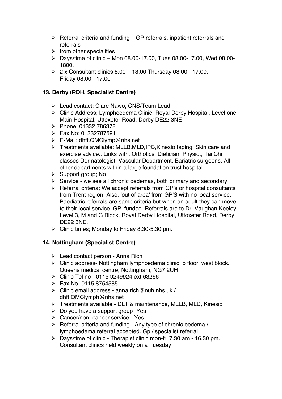- $\triangleright$  Referral criteria and funding GP referrals, inpatient referrals and referrals
- $\triangleright$  from other specialities
- $\triangleright$  Days/time of clinic Mon 08.00-17.00, Tues 08.00-17.00, Wed 08.00-1800.
- $\geq 2$  x Consultant clinics 8.00 18.00 Thursday 08.00 17.00, Friday 08.00 - 17.00

### **13. Derby (RDH, Specialist Centre)**

- > Lead contact; Clare Nawo, CNS/Team Lead
- > Clinic Address; Lymphoedema Clinic, Royal Derby Hospital, Level one, Main Hospital, Uttoxeter Road, Derby DE22 3NE
- ! Phone; 01332 786378
- $\triangleright$  Fax No: 01332787591
- $\triangleright$  E-Mail; dhft.QMClymp@nhs.net
- $\triangleright$  Treatments available; MLLB, MLD, IPC, Kinesio taping, Skin care and exercise advice.. Links with, Orthotics, Dietician, Physio,, Tai Chi classes Dermatologist, Vascular Department, Bariatric surgeons. All other departments within a large foundation trust hospital.
- $\triangleright$  Support group; No
- $\triangleright$  Service we see all chronic oedemas, both primary and secondary.
- $\triangleright$  Referral criteria; We accept referrals from GP's or hospital consultants from Trent region. Also, 'out of area' from GP'S with no local service. Paediatric referrals are same criteria but when an adult they can move to their local service. GP. funded. Referrals are to Dr. Vaughan Keeley, Level 3, M and G Block, Royal Derby Hospital, Uttoxeter Road, Derby, DE22 3NE.
- $\triangleright$  Clinic times; Monday to Friday 8.30-5.30.pm.

# **14. Nottingham (Specialist Centre)**

- $\triangleright$  Lead contact person Anna Rich
- $\triangleright$  Clinic address- Nottingham lymphoedema clinic, b floor, west block. Queens medical centre, Nottingham, NG7 2UH
- ! Clinic Tel no 0115 9249924 ext 63266
- $\triangleright$  Fax No -0115 8754585
- $\triangleright$  Clinic email address anna.rich@nuh.nhs.uk / dhft.QMClymph@nhs.net
- $\triangleright$  Treatments available DLT & maintenance, MLLB, MLD, Kinesio
- $\triangleright$  Do you have a support group- Yes
- > Cancer/non- cancer service Yes
- $\triangleright$  Referral criteria and funding Any type of chronic oedema / lymphoedema referral accepted. Gp / specialist referral
- $\triangleright$  Days/time of clinic Therapist clinic mon-fri 7.30 am 16.30 pm. Consultant clinics held weekly on a Tuesday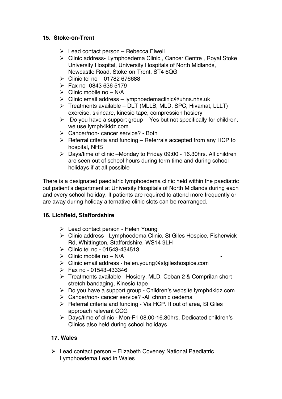### **15. Stoke-on-Trent**

- $\triangleright$  Lead contact person Rebecca Elwell
- > Clinic address- Lymphoedema Clinic., Cancer Centre, Royal Stoke University Hospital, University Hospitals of North Midlands, Newcastle Road, Stoke-on-Trent, ST4 6QG
- $\triangleright$  Clinic tel no 01782 676688
- $\triangleright$  Fax no -0843 636 5179
- $\triangleright$  Clinic mobile no N/A
- $\triangleright$  Clinic email address lymphoedemaclinic@uhns.nhs.uk
- $\triangleright$  Treatments available DLT (MLLB, MLD, SPC, Hivamat, LLLT) exercise, skincare, kinesio tape, compression hosiery
- $\triangleright$  Do you have a support group Yes but not specifically for children, we use lymph4kidz.com
- > Cancer/non- cancer service? Both
- $\triangleright$  Referral criteria and funding Referrals accepted from any HCP to hospital, NHS
- ! Days/time of clinic –Monday to Friday 09:00 16.30hrs. All children are seen out of school hours during term time and during school holidays if at all possible

There is a designated paediatric lymphoedema clinic held within the paediatric out patient's department at University Hospitals of North Midlands during each and every school holiday. If patients are required to attend more frequently or are away during holiday alternative clinic slots can be rearranged.

# **16. Lichfield, Staffordshire**

- $\triangleright$  Lead contact person Helen Young
- $\triangleright$  Clinic address Lymphoedema Clinic, St Giles Hospice, Fisherwick Rd, Whittington, Staffordshire, WS14 9LH
- $\triangleright$  Clinic tel no 01543-434513
- $\triangleright$  Clinic mobile no N/A
- > Clinic email address helen.young@stgileshospice.com
- $\triangleright$  Fax no 01543-433346
- > Treatments available -Hosiery, MLD, Coban 2 & Comprilan shortstretch bandaging, Kinesio tape
- ! Do you have a support group Children's website lymph4kidz.com
- > Cancer/non- cancer service? -All chronic oedema
- $\triangleright$  Referral criteria and funding Via HCP. If out of area, St Giles approach relevant CCG
- > Days/time of clinic Mon-Fri 08.00-16.30hrs. Dedicated children's Clinics also held during school holidays

# **17. Wales**

 $\triangleright$  Lead contact person – Elizabeth Coveney National Paediatric Lymphoedema Lead in Wales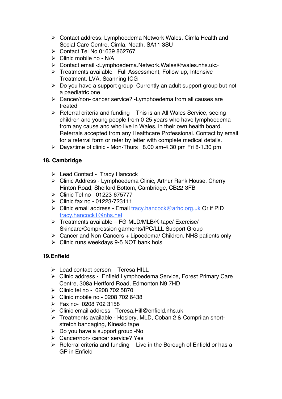- > Contact address: Lymphoedema Network Wales, Cimla Health and Social Care Centre, Cimla, Neath, SA11 3SU
- $\triangleright$  Contact Tel No 01639 862767
- $\triangleright$  Clinic mobile no N/A
- ! Contact email <Lymphoedema.Network.Wales@wales.nhs.uk>
- $\triangleright$  Treatments available Full Assessment, Follow-up, Intensive Treatment, LVA, Scanning ICG
- $\geq$  Do you have a support group -Currently an adult support group but not a paediatric one
- $\triangleright$  Cancer/non- cancer service? -Lymphoedema from all causes are treated
- $\triangleright$  Referral criteria and funding This is an All Wales Service, seeing children and young people from 0-25 years who have lymphoedema from any cause and who live in Wales, in their own health board. Referrals accepted from any Healthcare Professional. Contact by email for a referral form or refer by letter with complete medical details.
- $\triangleright$  Days/time of clinic Mon-Thurs 8.00 am-4.30 pm Fri 8-1.30 pm

# **18. Cambridge**

- > Lead Contact Tracy Hancock
- > Clinic Address Lymphoedema Clinic, Arthur Rank House, Cherry Hinton Road, Shelford Bottom, Cambridge, CB22-3FB
- ▶ Clinic Tel no 01223-675777
- $\triangleright$  Clinic fax no 01223-723111
- > Clinic email address Email tracy.hancock@arhc.org.uk Or if PID tracy.hancock1@nhs.net
- $\triangleright$  Treatments available FG-MLD/MLB/K-tape/ Exercise/ Skincare/Compression garments/IPC/LLL Support Group
- $\triangleright$  Cancer and Non-Cancers + Lipoedema/ Children. NHS patients only
- $\triangleright$  Clinic runs weekdays 9-5 NOT bank hols

# **19.Enfield**

- $\triangleright$  Lead contact person Teresa HILL
- > Clinic address Enfield Lymphoedema Service, Forest Primary Care Centre, 308a Hertford Road, Edmonton N9 7HD
- $\triangleright$  Clinic tel no 0208 702 5870
- $\triangleright$  Clinic mobile no 0208 702 6438
- $\triangleright$  Fax no- 0208 702 3158
- > Clinic email address Teresa.Hill@enfield.nhs.uk
- > Treatments available Hosiery, MLD, Coban 2 & Comprilan shortstretch bandaging, Kinesio tape
- $\geq$  Do you have a support group -No
- > Cancer/non- cancer service? Yes
- $\triangleright$  Referral criteria and funding Live in the Borough of Enfield or has a GP in Enfield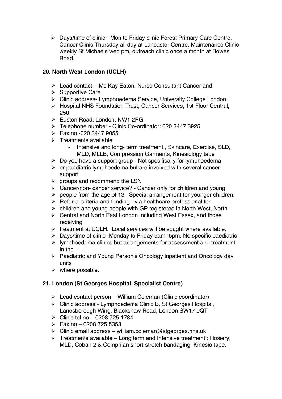! Days/time of clinic - Mon to Friday clinic Forest Primary Care Centre, Cancer Clinic Thursday all day at Lancaster Centre, Maintenance Clinic weekly St Michaels wed pm, outreach clinic once a month at Bowes Road.

### **20. North West London (UCLH)**

- $\triangleright$  Lead contact Ms Kay Eaton, Nurse Consultant Cancer and
- $\triangleright$  Supportive Care
- > Clinic address- Lymphoedema Service, University College London
- ! Hospital NHS Foundation Trust, Cancer Services, 1st Floor Central, 250
- > Euston Road, London, NW1 2PG
- ! Telephone number Clinic Co-ordinator: 020 3447 3925
- $\triangleright$  Fax no -020 3447 9055
- $\triangleright$  Treatments available
	- Intensive and long- term treatment , Skincare, Exercise, SLD, MLD, MLLB, Compression Garments, Kinesiology tape
- $\triangleright$  Do you have a support group Not specifically for lymphoedema
- $\triangleright$  or paediatric lymphoedema but are involved with several cancer support
- $\triangleright$  groups and recommend the LSN
- $\triangleright$  Cancer/non- cancer service? Cancer only for children and young
- $\triangleright$  people from the age of 13. Special arrangement for younger children.
- $\triangleright$  Referral criteria and funding via healthcare professional for
- $\triangleright$  children and young people with GP registered in North West, North
- > Central and North East London including West Essex, and those receiving
- $\triangleright$  treatment at UCLH. Local services will be sought where available.
- $\triangleright$  Days/time of clinic -Monday to Friday 9am -5pm. No specific paediatric
- $\triangleright$  lymphoedema clinics but arrangements for assessment and treatment in the
- ! Paediatric and Young Person's Oncology inpatient and Oncology day units
- $\triangleright$  where possible.

# **21. London (St Georges Hospital, Specialist Centre)**

- $\triangleright$  Lead contact person William Coleman (Clinic coordinator)
- $\triangleright$  Clinic address Lymphoedema Clinic B, St Georges Hospital, Lanesborough Wing, Blackshaw Road, London SW17 0QT
- $\geq$  Clinic tel no 0208 725 1784
- $\triangleright$  Fax no 0208 725 5353
- $\triangleright$  Clinic email address william.coleman@stgeorges.nhs.uk
- $\triangleright$  Treatments available Long term and Intensive treatment : Hosiery, MLD, Coban 2 & Comprilan short-stretch bandaging, Kinesio tape.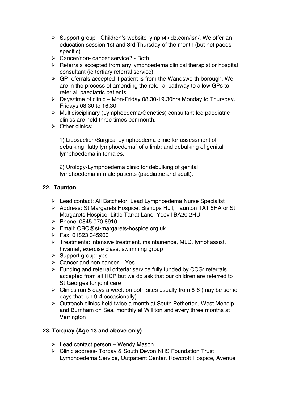- $\triangleright$  Support group Children's website lymph4kidz.com/lsn/. We offer an education session 1st and 3rd Thursday of the month (but not paeds specific)
- $\triangleright$  Cancer/non- cancer service? Both
- $\triangleright$  Referrals accepted from any lymphoedema clinical therapist or hospital consultant (ie tertiary referral service).
- $\triangleright$  GP referrals accepted if patient is from the Wandsworth borough. We are in the process of amending the referral pathway to allow GPs to refer all paediatric patients.
- $\triangleright$  Days/time of clinic Mon-Friday 08.30-19.30hrs Monday to Thursday. Fridays 08.30 to 16.30.
- $\triangleright$  Multidisciplinary (Lymphoedema/Genetics) consultant-led paediatric clinics are held three times per month.
- $\triangleright$  Other clinics:

1) Liposuction/Surgical Lymphoedema clinic for assessment of debulking "fatty lymphoedema" of a limb; and debulking of genital lymphoedema in females.

2) Urology-Lymphoedema clinic for debulking of genital lymphoedema in male patients (paediatric and adult).

### **22. Taunton**

- > Lead contact: Ali Batchelor, Lead Lymphoedema Nurse Specialist
- > Address: St Margarets Hospice, Bishops Hull, Taunton TA1 5HA or St Margarets Hospice, Little Tarrat Lane, Yeovil BA20 2HU
- $\triangleright$  Phone: 0845 070 8910
- > Email: CRC@st-margarets-hospice.org.uk
- $\triangleright$  Fax: 01823 345900
- $\triangleright$  Treatments: intensive treatment, maintainence, MLD, lymphassist, hivamat, exercise class, swimming group
- $\triangleright$  Support group: yes
- $\triangleright$  Cancer and non cancer Yes
- $\triangleright$  Funding and referral criteria: service fully funded by CCG; referrals accepted from all HCP but we do ask that our children are referred to St Georges for joint care
- $\triangleright$  Clinics run 5 days a week on both sites usually from 8-6 (may be some days that run 9-4 occasionally)
- $\triangleright$  Outreach clinics held twice a month at South Petherton, West Mendip and Burnham on Sea, monthly at Williton and every three months at Verrington

### **23. Torquay (Age 13 and above only)**

- $\triangleright$  Lead contact person Wendy Mason
- > Clinic address- Torbay & South Devon NHS Foundation Trust Lymphoedema Service, Outpatient Center, Rowcroft Hospice, Avenue